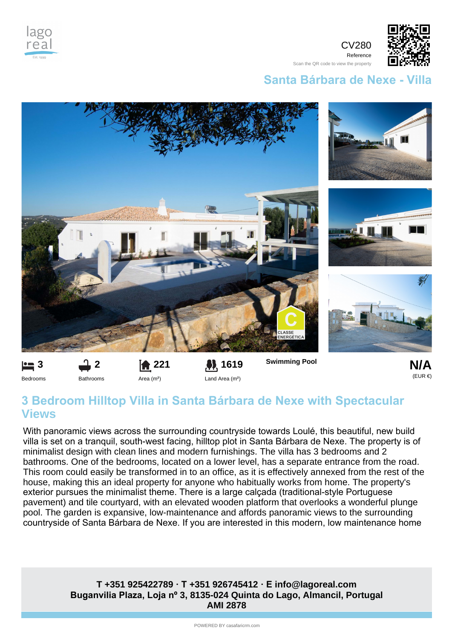





Reference Scan the QR code to view the property

## **Santa Bárbara de Nexe - Villa**



Bedrooms

**221** Area (m²)

Bathrooms

Land Area (m²)



## **3 Bedroom Hilltop Villa in Santa Bárbara de Nexe with Spectacular Views**

With panoramic views across the surrounding countryside towards Loulé, this beautiful, new build villa is set on a tranquil, south-west facing, hilltop plot in Santa Bárbara de Nexe. The property is of minimalist design with clean lines and modern furnishings. The villa has 3 bedrooms and 2 bathrooms. One of the bedrooms, located on a lower level, has a separate entrance from the road. This room could easily be transformed in to an office, as it is effectively annexed from the rest of the house, making this an ideal property for anyone who habitually works from home. The property's exterior pursues the minimalist theme. There is a large calçada (traditional-style Portuguese pavement) and tile courtyard, with an elevated wooden platform that overlooks a wonderful plunge pool. The garden is expansive, low-maintenance and affords panoramic views to the surrounding countryside of Santa Bárbara de Nexe. If you are interested in this modern, low maintenance home

## **Buganvilia Plaza, Loja nº 3, 8135-024 Quinta do Lago, Almancil, Portugal AMI 2878 T +351 925422789 · T +351 926745412 · E info@lagoreal.com**